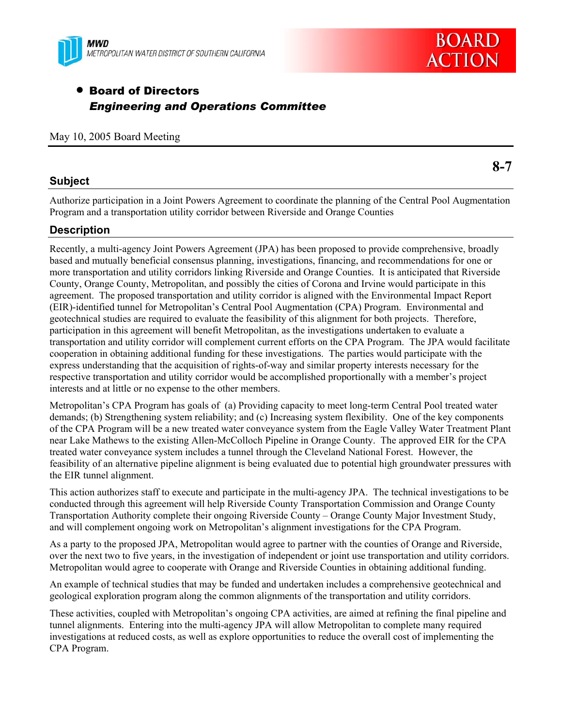



**8-7** 

# • Board of Directors *Engineering and Operations Committee*

### May 10, 2005 Board Meeting

## **Subject**

Authorize participation in a Joint Powers Agreement to coordinate the planning of the Central Pool Augmentation Program and a transportation utility corridor between Riverside and Orange Counties

# **Description**

Recently, a multi-agency Joint Powers Agreement (JPA) has been proposed to provide comprehensive, broadly based and mutually beneficial consensus planning, investigations, financing, and recommendations for one or more transportation and utility corridors linking Riverside and Orange Counties. It is anticipated that Riverside County, Orange County, Metropolitan, and possibly the cities of Corona and Irvine would participate in this agreement. The proposed transportation and utility corridor is aligned with the Environmental Impact Report (EIR)-identified tunnel for Metropolitan's Central Pool Augmentation (CPA) Program. Environmental and geotechnical studies are required to evaluate the feasibility of this alignment for both projects. Therefore, participation in this agreement will benefit Metropolitan, as the investigations undertaken to evaluate a transportation and utility corridor will complement current efforts on the CPA Program. The JPA would facilitate cooperation in obtaining additional funding for these investigations. The parties would participate with the express understanding that the acquisition of rights-of-way and similar property interests necessary for the respective transportation and utility corridor would be accomplished proportionally with a member's project interests and at little or no expense to the other members.

Metropolitan's CPA Program has goals of (a) Providing capacity to meet long-term Central Pool treated water demands; (b) Strengthening system reliability; and (c) Increasing system flexibility. One of the key components of the CPA Program will be a new treated water conveyance system from the Eagle Valley Water Treatment Plant near Lake Mathews to the existing Allen-McColloch Pipeline in Orange County. The approved EIR for the CPA treated water conveyance system includes a tunnel through the Cleveland National Forest. However, the feasibility of an alternative pipeline alignment is being evaluated due to potential high groundwater pressures with the EIR tunnel alignment.

This action authorizes staff to execute and participate in the multi-agency JPA. The technical investigations to be conducted through this agreement will help Riverside County Transportation Commission and Orange County Transportation Authority complete their ongoing Riverside County – Orange County Major Investment Study, and will complement ongoing work on Metropolitan's alignment investigations for the CPA Program.

As a party to the proposed JPA, Metropolitan would agree to partner with the counties of Orange and Riverside, over the next two to five years, in the investigation of independent or joint use transportation and utility corridors. Metropolitan would agree to cooperate with Orange and Riverside Counties in obtaining additional funding.

An example of technical studies that may be funded and undertaken includes a comprehensive geotechnical and geological exploration program along the common alignments of the transportation and utility corridors.

These activities, coupled with Metropolitan's ongoing CPA activities, are aimed at refining the final pipeline and tunnel alignments. Entering into the multi-agency JPA will allow Metropolitan to complete many required investigations at reduced costs, as well as explore opportunities to reduce the overall cost of implementing the CPA Program.